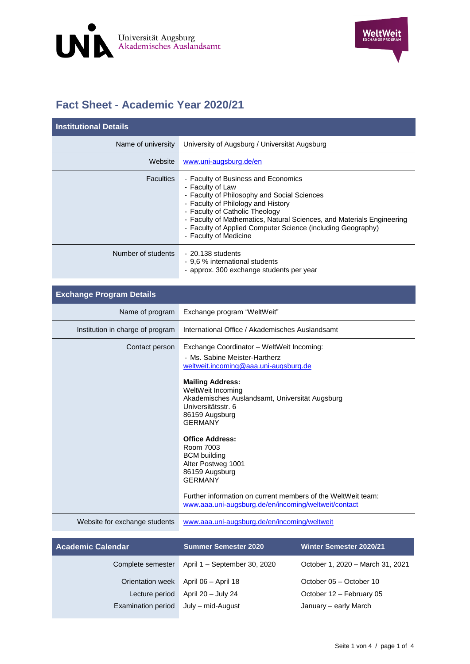

## **Fact Sheet - Academic Year 2020/21**

| <b>Institutional Details</b> |                                                                                                                                                                                                                                                                                                                                                 |
|------------------------------|-------------------------------------------------------------------------------------------------------------------------------------------------------------------------------------------------------------------------------------------------------------------------------------------------------------------------------------------------|
| Name of university           | University of Augsburg / Universität Augsburg                                                                                                                                                                                                                                                                                                   |
| Website                      | www.uni-augsburg.de/en                                                                                                                                                                                                                                                                                                                          |
| <b>Faculties</b>             | - Faculty of Business and Economics<br>- Faculty of Law<br>- Faculty of Philosophy and Social Sciences<br>- Faculty of Philology and History<br>- Faculty of Catholic Theology<br>- Faculty of Mathematics, Natural Sciences, and Materials Engineering<br>- Faculty of Applied Computer Science (including Geography)<br>- Faculty of Medicine |
| Number of students           | $-20.138$ students<br>- 9.6 % international students<br>- approx. 300 exchange students per year                                                                                                                                                                                                                                                |

| <b>Exchange Program Details</b>  |                                                                                                                                                                                                                                                                                                                                                                                                                                                                                                                                 |
|----------------------------------|---------------------------------------------------------------------------------------------------------------------------------------------------------------------------------------------------------------------------------------------------------------------------------------------------------------------------------------------------------------------------------------------------------------------------------------------------------------------------------------------------------------------------------|
| Name of program                  | Exchange program "WeltWeit"                                                                                                                                                                                                                                                                                                                                                                                                                                                                                                     |
| Institution in charge of program | International Office / Akademisches Auslandsamt                                                                                                                                                                                                                                                                                                                                                                                                                                                                                 |
| Contact person                   | Exchange Coordinator - WeltWeit Incoming:<br>- Ms. Sabine Meister-Hartherz<br>weltweit.incoming@aaa.uni-augsburg.de<br><b>Mailing Address:</b><br>WeltWeit Incoming<br>Akademisches Auslandsamt, Universität Augsburg<br>Universitätsstr. 6<br>86159 Augsburg<br><b>GERMANY</b><br><b>Office Address:</b><br>Room 7003<br><b>BCM</b> building<br>Alter Postweg 1001<br>86159 Augsburg<br><b>GERMANY</b><br>Further information on current members of the WeltWeit team:<br>www.aaa.uni-augsburg.de/en/incoming/weltweit/contact |
| Website for exchange students    | www.aaa.uni-augsburg.de/en/incoming/weltweit                                                                                                                                                                                                                                                                                                                                                                                                                                                                                    |

| <b>Academic Calendar</b>           | <b>Summer Semester 2020</b>               | Winter Semester 2020/21                             |
|------------------------------------|-------------------------------------------|-----------------------------------------------------|
| Complete semester                  | April 1 - September 30, 2020              | October 1, 2020 - March 31, 2021                    |
| Orientation week<br>Lecture period | April 06 - April 18<br>April 20 - July 24 | October 05 - October 10<br>October 12 - February 05 |
| Examination period                 | July – mid-August                         | January - early March                               |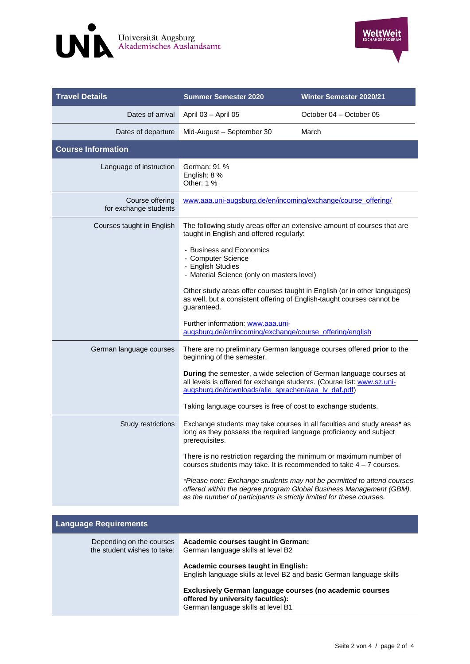



| <b>Travel Details</b>                    | <b>Summer Semester 2020</b>                                                                                                                                                                          | <b>Winter Semester 2020/21</b>                                                                                                                |
|------------------------------------------|------------------------------------------------------------------------------------------------------------------------------------------------------------------------------------------------------|-----------------------------------------------------------------------------------------------------------------------------------------------|
| Dates of arrival                         | April 03 - April 05                                                                                                                                                                                  | October 04 - October 05                                                                                                                       |
| Dates of departure                       | Mid-August - September 30                                                                                                                                                                            | March                                                                                                                                         |
| <b>Course Information</b>                |                                                                                                                                                                                                      |                                                                                                                                               |
| Language of instruction                  | German: 91 %<br>English: 8 %<br>Other: 1 %                                                                                                                                                           |                                                                                                                                               |
| Course offering<br>for exchange students | www.aaa.uni-augsburg.de/en/incoming/exchange/course_offering/                                                                                                                                        |                                                                                                                                               |
| Courses taught in English                | The following study areas offer an extensive amount of courses that are<br>taught in English and offered regularly:                                                                                  |                                                                                                                                               |
|                                          | - Business and Economics<br>- Computer Science<br>- English Studies<br>- Material Science (only on masters level)                                                                                    |                                                                                                                                               |
|                                          | as well, but a consistent offering of English-taught courses cannot be<br>guaranteed.                                                                                                                | Other study areas offer courses taught in English (or in other languages)                                                                     |
|                                          | Further information: www.aaa.uni-<br>augsburg.de/en/incoming/exchange/course_offering/english                                                                                                        |                                                                                                                                               |
| German language courses                  | There are no preliminary German language courses offered prior to the<br>beginning of the semester.                                                                                                  |                                                                                                                                               |
|                                          | During the semester, a wide selection of German language courses at<br>all levels is offered for exchange students. (Course list: www.sz.uni-<br>augsburg.de/downloads/alle_sprachen/aaa_lv_daf.pdf) |                                                                                                                                               |
|                                          | Taking language courses is free of cost to exchange students.                                                                                                                                        |                                                                                                                                               |
| Study restrictions                       | long as they possess the required language proficiency and subject<br>prerequisites.                                                                                                                 | Exchange students may take courses in all faculties and study areas* as                                                                       |
|                                          | There is no restriction regarding the minimum or maximum number of<br>courses students may take. It is recommended to take $4 - 7$ courses.                                                          |                                                                                                                                               |
|                                          | as the number of participants is strictly limited for these courses.                                                                                                                                 | *Please note: Exchange students may not be permitted to attend courses<br>offered within the degree program Global Business Management (GBM), |
| <b>Language Requirements</b>             |                                                                                                                                                                                                      |                                                                                                                                               |

| Depending on the courses<br>the student wishes to take: | Academic courses taught in German:<br>German language skills at level B2                                                                   |
|---------------------------------------------------------|--------------------------------------------------------------------------------------------------------------------------------------------|
|                                                         | Academic courses taught in English:<br>English language skills at level B2 and basic German language skills                                |
|                                                         | <b>Exclusively German language courses (no academic courses</b><br>offered by university faculties):<br>German language skills at level B1 |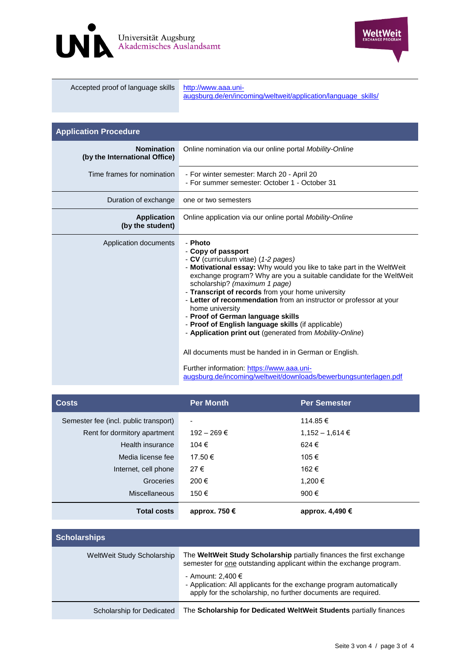



| Accepted proof of language skills | http://www.aaa.uni-<br>augsburg.de/en/incoming/weltweit/application/language skills/ |
|-----------------------------------|--------------------------------------------------------------------------------------|
|                                   |                                                                                      |

| <b>Application Procedure</b>                       |                                                                                                                                                                                                                                                                                                                                                                                                                                                                                                                                                                                                                                                                                                                                      |
|----------------------------------------------------|--------------------------------------------------------------------------------------------------------------------------------------------------------------------------------------------------------------------------------------------------------------------------------------------------------------------------------------------------------------------------------------------------------------------------------------------------------------------------------------------------------------------------------------------------------------------------------------------------------------------------------------------------------------------------------------------------------------------------------------|
| <b>Nomination</b><br>(by the International Office) | Online nomination via our online portal Mobility-Online                                                                                                                                                                                                                                                                                                                                                                                                                                                                                                                                                                                                                                                                              |
| Time frames for nomination                         | - For winter semester: March 20 - April 20<br>- For summer semester: October 1 - October 31                                                                                                                                                                                                                                                                                                                                                                                                                                                                                                                                                                                                                                          |
| Duration of exchange                               | one or two semesters                                                                                                                                                                                                                                                                                                                                                                                                                                                                                                                                                                                                                                                                                                                 |
| <b>Application</b><br>(by the student)             | Online application via our online portal <i>Mobility-Online</i>                                                                                                                                                                                                                                                                                                                                                                                                                                                                                                                                                                                                                                                                      |
| Application documents                              | - Photo<br>- Copy of passport<br>- CV (curriculum vitae) (1-2 pages)<br>- Motivational essay: Why would you like to take part in the WeltWeit<br>exchange program? Why are you a suitable candidate for the WeltWeit<br>scholarship? (maximum 1 page)<br>- Transcript of records from your home university<br>- Letter of recommendation from an instructor or professor at your<br>home university<br>- Proof of German language skills<br>- Proof of English language skills (if applicable)<br>- Application print out (generated from Mobility-Online)<br>All documents must be handed in in German or English.<br>Further information: https://www.aaa.uni-<br>augsburg.de/incoming/weltweit/downloads/bewerbungsunterlagen.pdf |

| <b>Costs</b>                          | Per Month       | <b>Per Semester</b> |
|---------------------------------------|-----------------|---------------------|
| Semester fee (incl. public transport) | -               | 114.85 €            |
| Rent for dormitory apartment          | $192 - 269 \in$ | $1,152 - 1,614 \in$ |
| Health insurance                      | 104 €           | 624€                |
| Media license fee                     | 17.50 €         | 105€                |
| Internet, cell phone                  | 27€             | 162€                |
| Groceries                             | 200€            | 1,200 €             |
| Miscellaneous                         | 150€            | 900€                |
| <b>Total costs</b>                    | approx. 750 €   | approx. 4,490 €     |

| <b>Scholarships</b>        |                                                                                                                                                            |
|----------------------------|------------------------------------------------------------------------------------------------------------------------------------------------------------|
| WeltWeit Study Scholarship | The WeltWeit Study Scholarship partially finances the first exchange<br>semester for <u>one</u> outstanding applicant within the exchange program.         |
|                            | - Amount: 2,400 €<br>- Application: All applicants for the exchange program automatically<br>apply for the scholarship, no further documents are required. |
| Scholarship for Dedicated  | The Scholarship for Dedicated WeltWeit Students partially finances                                                                                         |